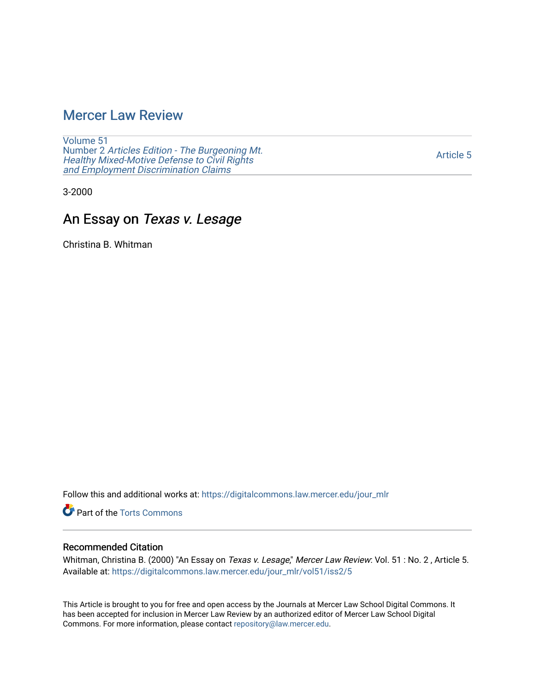### [Mercer Law Review](https://digitalcommons.law.mercer.edu/jour_mlr)

[Volume 51](https://digitalcommons.law.mercer.edu/jour_mlr/vol51) Number 2 [Articles Edition - The Burgeoning Mt.](https://digitalcommons.law.mercer.edu/jour_mlr/vol51/iss2)  Healthy [Mixed-Motive Defense to Civil Rights](https://digitalcommons.law.mercer.edu/jour_mlr/vol51/iss2)  [and Employment Discrimination Claims](https://digitalcommons.law.mercer.edu/jour_mlr/vol51/iss2)

[Article 5](https://digitalcommons.law.mercer.edu/jour_mlr/vol51/iss2/5) 

3-2000

# An Essay on Texas v. Lesage

Christina B. Whitman

Follow this and additional works at: [https://digitalcommons.law.mercer.edu/jour\\_mlr](https://digitalcommons.law.mercer.edu/jour_mlr?utm_source=digitalcommons.law.mercer.edu%2Fjour_mlr%2Fvol51%2Fiss2%2F5&utm_medium=PDF&utm_campaign=PDFCoverPages)

**C** Part of the [Torts Commons](http://network.bepress.com/hgg/discipline/913?utm_source=digitalcommons.law.mercer.edu%2Fjour_mlr%2Fvol51%2Fiss2%2F5&utm_medium=PDF&utm_campaign=PDFCoverPages)

#### Recommended Citation

Whitman, Christina B. (2000) "An Essay on Texas v. Lesage," Mercer Law Review: Vol. 51 : No. 2, Article 5. Available at: [https://digitalcommons.law.mercer.edu/jour\\_mlr/vol51/iss2/5](https://digitalcommons.law.mercer.edu/jour_mlr/vol51/iss2/5?utm_source=digitalcommons.law.mercer.edu%2Fjour_mlr%2Fvol51%2Fiss2%2F5&utm_medium=PDF&utm_campaign=PDFCoverPages)

This Article is brought to you for free and open access by the Journals at Mercer Law School Digital Commons. It has been accepted for inclusion in Mercer Law Review by an authorized editor of Mercer Law School Digital Commons. For more information, please contact [repository@law.mercer.edu.](mailto:repository@law.mercer.edu)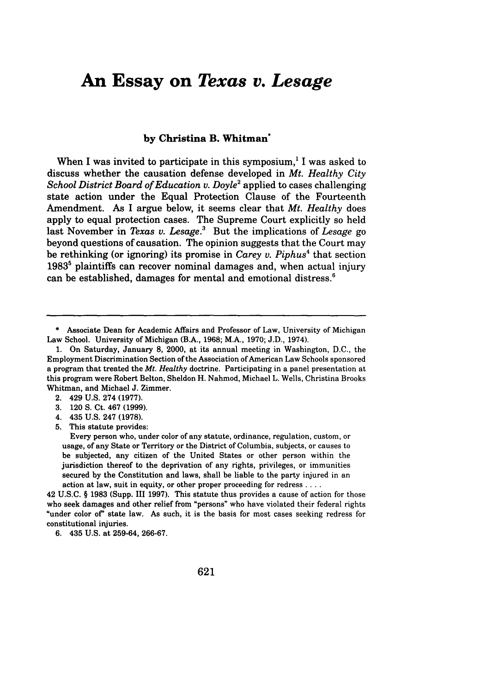# **An Essay on** *Texas v. Lesage*

#### **by Christina B. Whitman\***

When I was invited to participate in this symposium,<sup>1</sup> I was asked to discuss whether the causation defense developed in *Mt. Healthy City School District Board of Education v. Doyle2* applied to cases challenging state action under the Equal Protection Clause of the Fourteenth Amendment. As I argue below, it seems clear that *Mt. Healthy* does apply to equal protection cases. The Supreme Court explicitly so held last November in *Texas v. Lesage.3* But the implications of *Lesage* go beyond questions of causation. The opinion suggests that the Court may be rethinking (or ignoring) its promise in *Carey v. Piphus4* that section 1983<sup>5</sup> plaintiffs can recover nominal damages and, when actual injury can be established, damages for mental and emotional distress. <sup>6</sup>

- 2. 429 U.S. 274 (1977).
- 3. 120 **S.** Ct. 467 (1999).
- 4. 435 U.S. 247 (1978).
- 5. This statute provides:

Every person who, under color of any statute, ordinance, regulation, custom, or usage, of any State or Territory or the District of Columbia, subjects, or causes to be subjected, any citizen of the United States or other person within the jurisdiction thereof to the deprivation of any rights, privileges, or immunities secured by the Constitution and laws, shall be liable to the party injured in an action at law, suit in equity, or other proper proceeding for redress . . . .

42 U.S.C. **§** 1983 (Supp. III 1997). This statute thus provides a cause of action for those who seek damages and other relief from "persons" who have violated their federal rights "under color of" state law. As such, it is the basis for most cases seeking redress for constitutional injuries.

6. 435 U.S. at 259-64, 266-67.

<sup>\*</sup> Associate Dean for Academic Affairs and Professor of Law, University of Michigan Law School. University of Michigan (B.A., 1968; M.A., 1970; J.D., 1974).

<sup>1.</sup> On Saturday, January 8, 2000, at its annual meeting in Washington, D.C., the Employment Discrimination Section of the Association of American Law Schools sponsored a program that treated the *Mt. Healthy* doctrine. Participating in a panel presentation at this program were Robert Belton, Sheldon H. Nahmod, Michael L. Wells, Christina Brooks Whitman, and Michael J. Zimmer.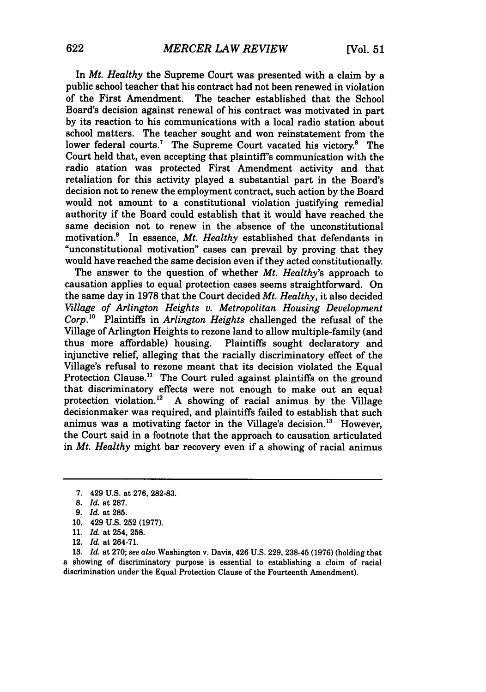In *Mt. Healthy* the Supreme Court was presented with a claim by a public school teacher that his contract had not been renewed in violation of the First Amendment. The teacher established that the School Board's decision against renewal of his contract was motivated in part by its reaction to his communications with a local radio station about school matters. The teacher sought and won reinstatement from the lower federal courts.<sup>7</sup> The Supreme Court vacated his victory.<sup>8</sup> The Court held that, even accepting that plaintiff's communication with the radio station was protected First Amendment activity and that retaliation for this activity played a substantial part in the Board's decision not to renew the employment contract, such action by the Board would not amount to a constitutional violation justifying remedial authority if the Board could establish that it would have reached the same decision not to renew in the absence of the unconstitutional motivation.9 In essence, *Mt. Healthy* established that defendants in "unconstitutional motivation" cases can prevail by proving that they would have reached the same decision even if they acted constitutionally.

The answer to the question of whether *Mt. Healthy's* approach to causation applies to equal protection cases seems straightforward. On the same day in 1978 that the Court decided *Mt. Healthy,* it also decided *Village of Arlington Heights v. Metropolitan Housing Development Corp.10* Plaintiffs in *Arlington Heights* challenged the refusal of the Village of Arlington Heights to rezone land to allow multiple-family (and thus more affordable) housing. Plaintiffs sought declaratory and injunctive relief, alleging that the racially discriminatory effect of the Village's refusal to rezone meant that its decision violated the Equal Protection Clause.<sup>11</sup> The Court ruled against plaintiffs on the ground that discriminatory effects were not enough to make out an equal protection violation.<sup>12</sup> A showing of racial animus by the Village decisionmaker was required, and plaintiffs failed to establish that such animus was a motivating factor in the Village's decision.<sup>13</sup> However, the Court said in a footnote that the approach to causation articulated in *Mt. Healthy* might bar recovery even if a showing of racial animus

13. *Id.* at 270; *see also* Washington v. Davis, 426 U.S. 229, 238-45 (1976) (holding that a showing of discriminatory purpose is essential to establishing a claim of racial discrimination under the Equal Protection Clause of the Fourteenth Amendment).

<sup>7. 429</sup> U.S. at 276, 282-83.

**<sup>8.</sup>** *Id.* at 287.

<sup>9.</sup> *Id.* at 285.

<sup>10. 429</sup> U.S. **252** (1977).

<sup>11.</sup> *Id.* at 254, 258.

<sup>12.</sup> *Id.* at 264-71.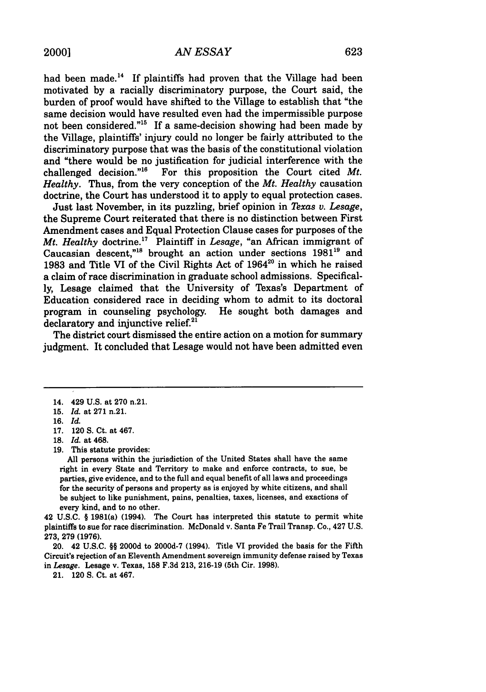had been made.<sup>14</sup> If plaintiffs had proven that the Village had been motivated by a racially discriminatory purpose, the Court said, the burden of proof would have shifted to the Village to establish that "the same decision would have resulted even had the impermissible purpose not been considered."<sup>15</sup> If a same-decision showing had been made by the Village, plaintiffs' injury could no longer be fairly attributed to the discriminatory purpose that was the basis of the constitutional violation and "there would be no justification for judicial interference with the challenged decision."<sup>16</sup> For this proposition the Court cited  $Mt$ . For this proposition the Court cited *Mt*. *Healthy.* Thus, from the very conception of the *Mt. Healthy* causation doctrine, the Court has understood it to apply to equal protection cases.

Just last November, in its puzzling, brief opinion in *Texas v. Lesage,* the Supreme Court reiterated that there is no distinction between First Amendment cases and Equal Protection Clause cases for purposes of the *Mt. Healthy doctrine.*<sup>17</sup> Plaintiff in *Lesage*, "an African immigrant of Caucasian descent,"<sup>18</sup> brought an action under sections  $1981^{19}$  and 1983 and Title VI of the Civil Rights Act of 1964<sup>20</sup> in which he raised a claim of race discrimination in graduate school admissions. Specifically, Lesage claimed that the University of Texas's Department of Education considered race in deciding whom to admit to its doctoral program in counseling psychology. He sought both damages and declaratory and injunctive relief.<sup>21</sup>

The district court dismissed the entire action on a motion for summary judgment. It concluded that Lesage would not have been admitted even

All persons within the jurisdiction of the United States shall have the same right in every State and Territory to make and enforce contracts, to sue, be parties, give evidence, and to the full and equal benefit of all laws and proceedings for the security of persons and property as is enjoyed by white citizens, and shall be subject to like punishment, pains, penalties, taxes, licenses, and exactions of every kind, and to no other.

42 U.S.C. § 1981(a) (1994). The Court has interpreted this statute to permit white plaintiffs to sue for race discrimination. McDonald v. Santa Fe Trail Transp. Co., 427 U.S. 273, **279 (1976).**

20. 42 U.S.C. §§ 2000d to 2000d-7 (1994). Title VI provided the basis for the Fifth Circuit's rejection of an Eleventh Amendment sovereign immunity defense raised by Texas in **Lesage.** Lesage v. Texas, **158** F.3d 213, **216-19** (5th Cir. **1998).**

21. 120 **S.** Ct. at 467.

<sup>14. 429</sup> U.S. at 270 n.21.

<sup>15.</sup> *Id.* at 271 n.21.

<sup>16.</sup> *Id.*

<sup>17. 120</sup> **S.** Ct. at 467.

**<sup>18.</sup>** *Id.* at 468.

**<sup>19.</sup>** This statute provides: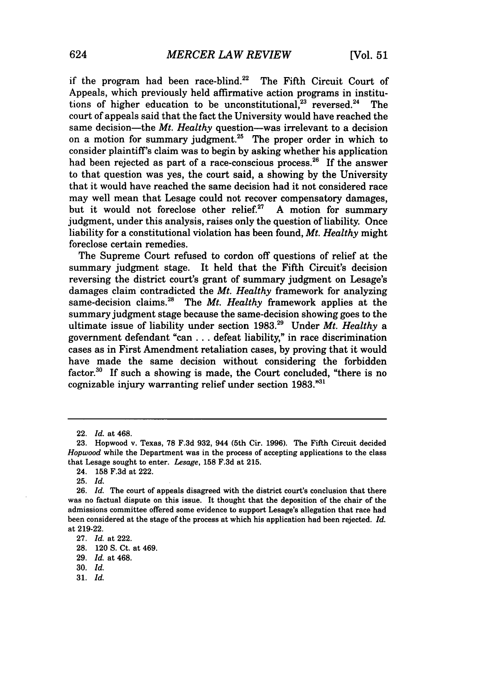if the program had been race-blind.<sup>22</sup> The Fifth Circuit Court of Appeals, which previously held affirmative action programs in institutions of higher education to be unconstitutional, $^{23}$  reversed. $^{24}$  The court of appeals said that the fact the University would have reached the same decision-the *Mt. Healthy* question-was irrelevant to a decision on a motion for summary judgment.<sup>25</sup> The proper order in which to consider plaintiff's claim was to begin by asking whether his application had been rejected as part of a race-conscious process.<sup>26</sup> If the answer to that question was yes, the court said, a showing by the University that it would have reached the same decision had it not considered race may well mean that Lesage could not recover compensatory damages, but it would not foreclose other relief.<sup>27</sup> A motion for summary judgment, under this analysis, raises only the question of liability. Once liability for a constitutional violation has been found, *Mt. Healthy* might foreclose certain remedies.

The Supreme Court refused to cordon off questions of relief at the summary judgment stage. It held that the Fifth Circuit's decision reversing the district court's grant of summary judgment on Lesage's damages claim contradicted the *Mt. Healthy* framework for analyzing same-decision claims.<sup>28</sup> The *Mt. Healthy* framework applies at the summary judgment stage because the same-decision showing goes to the ultimate issue of liability under section 1983.29 Under *Mt. Healthy a* government defendant "can ... defeat liability," in race discrimination cases as in First Amendment retaliation cases, by proving that it would have made the same decision without considering the forbidden factor.30 If such a showing is made, the Court concluded, "there is no cognizable injury warranting relief under section  $1983.^{n_{31}}$ 

31. *Id.*

<sup>22.</sup> *Id.* at 468.

<sup>23.</sup> Hopwood v. Texas, **78** F.3d 932, 944 (5th Cir. 1996). The Fifth Circuit decided *Hopwood* while the Department was in the process of accepting applications to the class that Lesage sought to enter. *Lesage,* 158 F.3d at **215.**

<sup>24. 158</sup> F.3d at 222.

**<sup>25.</sup>** *Id.*

**<sup>26.</sup>** *Id.* The court of appeals disagreed with the district court's conclusion that there was no factual dispute on this issue. It thought that the deposition of the chair of the admissions committee offered some evidence to support Lesage's allegation that race had been considered at the stage of the process at which his application had been rejected. *Id.* at **219-22.**

**<sup>27.</sup>** *Id.* at 222.

**<sup>28.</sup>** 120 **S.** Ct. at 469.

**<sup>29.</sup>** *Id.* at 468.

**<sup>30.</sup>** *Id.*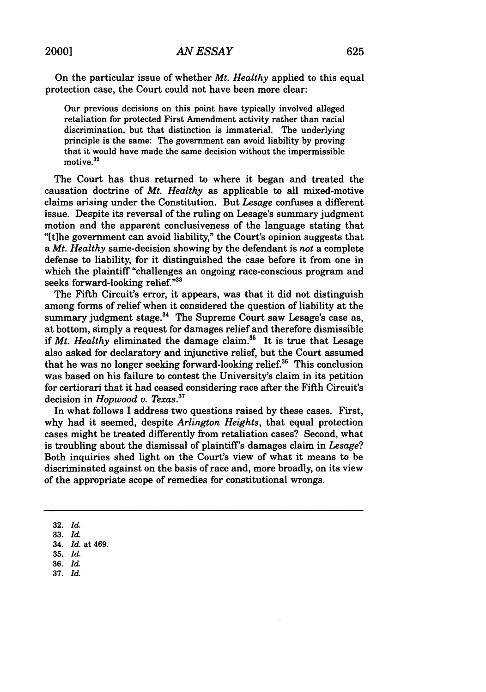### *AN ESSAY* **2000] 625**

Our previous decisions on this point have typically involved alleged retaliation for protected First Amendment activity rather than racial discrimination, but that distinction is immaterial. The underlying principle is the same: The government can avoid liability by proving that it would have made the same decision without the impermissible motive.<sup>32</sup>

The Court has thus returned to where it began and treated the causation doctrine of *Mt. Healthy* as applicable to all mixed-motive claims arising under the Constitution. But *Lesage* confuses a different issue. Despite its reversal of the ruling on Lesage's summary judgment motion and the apparent conclusiveness of the language stating that "[the government can avoid liability," the Court's opinion suggests that a *Mt. Healthy* same-decision showing by the defendant is *not* a complete defense to liability, for it distinguished the case before it from one in which the plaintiff "challenges an ongoing race-conscious program and seeks forward-looking relief."33

The Fifth Circuit's error, it appears, was that it did not distinguish among forms of relief when it considered the question of liability at the summary judgment stage. $34$  The Supreme Court saw Lesage's case as, at bottom, simply a request for damages relief and therefore dismissible if  $Mt$ . Healthy eliminated the damage claim.<sup>35</sup> It is true that Lesage also asked for declaratory and injunctive relief, but the Court assumed that he was no longer seeking forward-looking relief.<sup>36</sup> This conclusion was based on his failure to contest the University's claim in its petition for certiorari that it had ceased considering race after the Fifth Circuit's decision in *Hopwood v. Texas.37*

In what follows I address two questions raised **by** these cases. First, why had it seemed, despite *Arlington Heights,* that equal protection cases might be treated differently from retaliation cases? Second, what is troubling about the dismissal of plaintiff's damages claim in *Lesage?* Both inquiries shed light on the Court's view of what it means to be discriminated against on the basis of race and, more broadly, on its view of the appropriate scope of remedies for constitutional wrongs.

**35.** *Id.*

**<sup>32.</sup>** *Id.*

**<sup>33.</sup>** *Id.*

<sup>34.</sup> *Id.* at 469.

**<sup>36.</sup>** *Id.*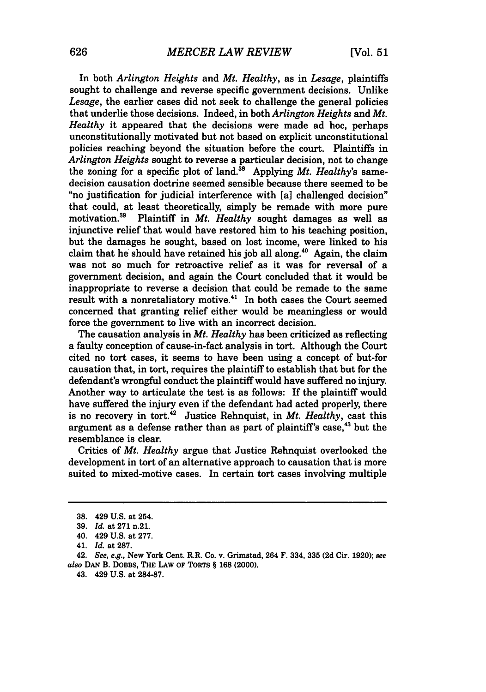In both *Arlington Heights* and *Mt. Healthy,* as in *Lesage,* plaintiffs sought to challenge and reverse specific government decisions. Unlike *Lesage,* the earlier cases did not seek to challenge the general policies that underlie those decisions. Indeed, in both *Arlington Heights and Mt. Healthy* it appeared that the decisions were made ad hoc, perhaps unconstitutionally motivated but not based on explicit unconstitutional policies reaching beyond the situation before the court. Plaintiffs in *Arlington Heights* sought to reverse a particular decision, not to change the zoning for a specific plot of land.<sup>38</sup> Applying *Mt. Healthy's* samedecision causation doctrine seemed sensible because there seemed to be "no justification for judicial interference with [a] challenged decision" that could, at least theoretically, simply be remade with more pure motivation.<sup>39</sup> Plaintiff in *Mt. Healthy* sought damages as well as Plaintiff in *Mt. Healthy* sought damages as well as injunctive relief that would have restored him to his teaching position, but the damages he sought, based on lost income, were linked to his claim that he should have retained his job all along.<sup>40</sup> Again, the claim was not so much for retroactive relief as it was for reversal of a government decision, and again the Court concluded that it would be inappropriate to reverse a decision that could be remade to the same result with a nonretaliatory motive.<sup>41</sup> In both cases the Court seemed concerned that granting relief either would be meaningless or would force the government to live with an incorrect decision.

The causation analysis in *Mt. Healthy* has been criticized as reflecting a faulty conception of cause-in-fact analysis in tort. Although the Court cited no tort cases, it seems to have been using a concept of but-for causation that, in tort, requires the plaintiff to establish that but for the defendant's wrongful conduct the plaintiff would have suffered no injury. Another way to articulate the test is as follows: If the plaintiff would have suffered the injury even if the defendant had acted properly, there is no recovery in tort.<sup>42</sup> Justice Rehnquist, in *Mt. Healthy*, cast this argument as a defense rather than as part of plaintiff's case,<sup>43</sup> but the resemblance is clear.

Critics of *Mt. Healthy* argue that Justice Rehnquist overlooked the development in tort of an alternative approach to causation that is more suited to mixed-motive cases. In certain tort cases involving multiple

**<sup>38.</sup>** 429 **U.S.** at 254.

**<sup>39.</sup>** *Id.* at **271** n.21.

<sup>40. 429</sup> **U.S.** at **277.**

<sup>41.</sup> *Id.* at **287.**

<sup>42.</sup> *See, e.g.,* New York Cent. R.R. Co. v. Grimstad, 264 F. 334, **335 (2d** Cir. **1920);** *see also* **DAN** B. DOBBS, THE LAW OF TORTs § **168** (2000).

<sup>43. 429</sup> **U.S.** at **284-87.**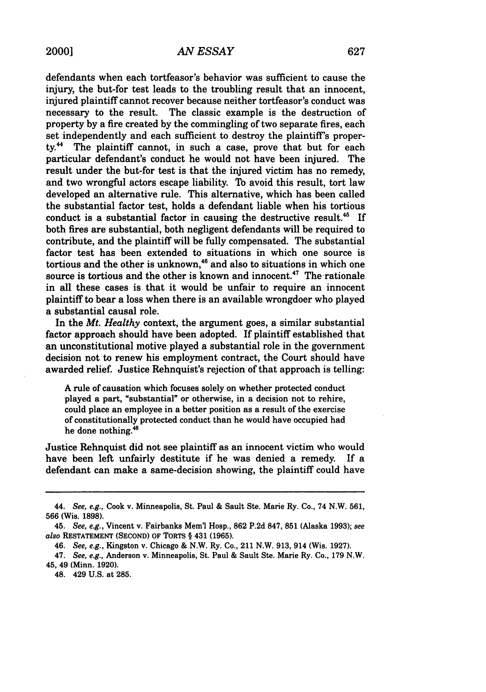### *AN ESSAY* **20001 627**

defendants when each tortfeasor's behavior was sufficient to cause the injury, the but-for test leads to the troubling result that an innocent, injured plaintiff cannot recover because neither tortfeasor's conduct was necessary to the result. The classic example is the destruction of property by a fire created by the commingling of two separate fires, each set independently and each sufficient to destroy the plaintiff's property.<sup>44</sup> The plaintiff cannot, in such a case, prove that but for each particular defendant's conduct he would not have been injured. The result under the but-for test is that the injured victim has no remedy, and two wrongful actors escape liability. To avoid this result, tort law developed an alternative rule. This alternative, which has been called the substantial factor test, holds a defendant liable when his tortious conduct is a substantial factor in causing the destructive result.<sup>45</sup> If both fires are substantial, both negligent defendants will be required to contribute, and the plaintiff will be fully compensated. The substantial factor test has been extended to situations in which one source is tortious and the other is unknown,<sup>46</sup> and also to situations in which one source is tortious and the other is known and innocent.<sup>47</sup> The rationale in all these cases is that it would be unfair to require an innocent plaintiff to bear a loss when there is an available wrongdoer who played a substantial causal role.

In the *Mt. Healthy* context, the argument goes, a similar substantial factor approach should have been adopted. If plaintiff established that an unconstitutional motive played a substantial role in the government decision not to renew his employment contract, the Court should have awarded relief. Justice Rehnquist's rejection of that approach is telling:

**A** rule of causation which focuses solely on whether protected conduct played a part, "substantial" or otherwise, in a decision not to rehire, could place an employee in a better position as a result of the exercise of constitutionally protected conduct than he would have occupied had he done nothing.<sup>48</sup>

Justice Rehnquist did not see plaintiff as an innocent victim who would have been left unfairly destitute if he was denied a remedy. If a defendant can make a same-decision showing, the plaintiff could have

<sup>44.</sup> *See, e.g.,* Cook v. Minneapolis, St. Paul **&** Sault Ste. Marie Ry. Co., 74 N.W. 561, **566** (Wis. **1898).**

<sup>45.</sup> *See, e.g.,* Vincent v. Fairbanks Meml Hosp., **862 P.2d 847, 851** (Alaska **1993);** *see also* RESTATEMENT **(SECOND)** OF TORTS § 431 **(1965).**

<sup>46.</sup> *See, e.g.,* Kingston v. Chicago & N.W. Ry. Co., 211 N.W. **913,** 914 (Wis. **1927).**

<sup>47.</sup> *See, e.g.,* Anderson v. Minneapolis, St. Paul **&** Sault Ste. Marie Ry. Co., **179** N.W. 45, 49 (Minn. **1920).**

<sup>48. 429</sup> **U.S.** at **285.**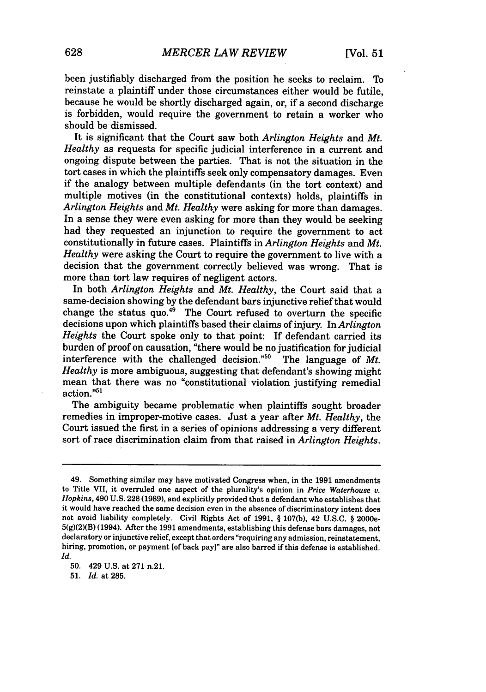been justifiably discharged from the position he seeks to reclaim. To reinstate a plaintiff under those circumstances either would be futile, because he would be shortly discharged again, or, if a second discharge is forbidden, would require the government to retain a worker who should be dismissed.

It is significant that the Court saw both *Arlington Heights* and *Mt. Healthy* as requests for specific judicial interference in a current and ongoing dispute between the parties. That is not the situation in the tort cases in which the plaintiffs seek only compensatory damages. Even if the analogy between multiple defendants (in the tort context) and multiple motives (in the constitutional contexts) holds, plaintiffs in *Arlington Heights* and *Mt. Healthy* were asking for more than damages. In a sense they were even asking for more than they would be seeking had they requested an injunction to require the government to act constitutionally in future cases. Plaintiffs in *Arlington Heights* and *Mt. Healthy* were asking the Court to require the government to live with a decision that the government correctly believed was wrong. That is more than tort law requires of negligent actors.

In both *Arlington Heights* and *Mt. Healthy,* the Court said that a same-decision showing by the defendant bars injunctive relief that would change the status quo.<sup>49</sup> The Court refused to overturn the specific decisions upon which plaintiffs based their claims of injury. In *Arlington Heights* the Court spoke only to that point: If defendant carried its burden of proof on causation, "there would be no justification for judicial interference with the challenged decision."<sup>50</sup> The language of  $Mt$ . *Healthy* is more ambiguous, suggesting that defendant's showing might mean that there was no "constitutional violation justifying remedial action."51

The ambiguity became problematic when plaintiffs sought broader remedies in improper-motive cases. Just a year after *Mt. Healthy,* the Court issued the first in a series of opinions addressing a very different sort of race discrimination claim from that raised in *Arlington Heights.*

**51.** *Id.* at **285.**

<sup>49.</sup> Something similar may have motivated Congress when, in the **1991** amendments to Title **VII,** it overruled one aspect of the plurality's opinion in *Price Waterhouse v. Hopkins,* 490 **U.S. 228 (1989),** and explicitly provided that a defendant who establishes that it would have reached the same decision even in the absence of discriminatory intent does not avoid liability completely. Civil Rights Act of **1991,** § **107(b),** 42 **U.S.C.** § 2000e-**5(g)(2)(B)** (1994). After the **1991** amendments, establishing this defense bars damages, **not** declaratory or injunctive relief, except that orders "requiring any admission, reinstatement, hiring, promotion, or payment [of back pay]" are also barred if this defense is established. *Id.*

**<sup>50.</sup>** 429 **U.S.** at **271** n.21.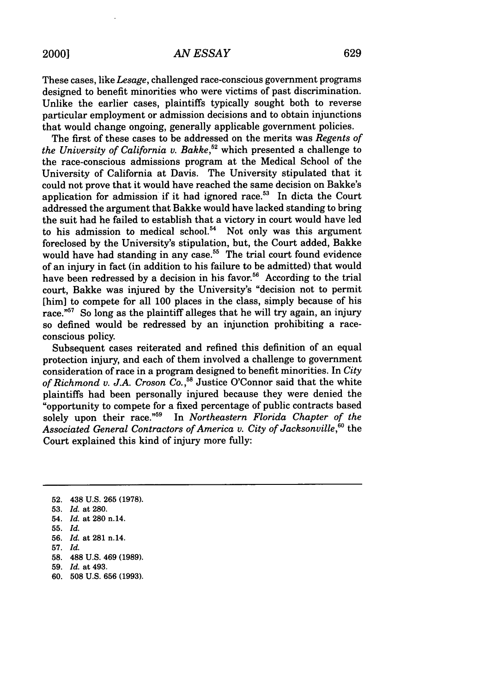These cases, like Lesage, challenged race-conscious government programs designed to benefit minorities who were victims of past discrimination. Unlike the earlier cases, plaintiffs typically sought both to reverse particular employment or admission decisions and to obtain injunctions that would change ongoing, generally applicable government policies.

The first of these cases to be addressed on the merits was *Regents of the University of California v. Bakke,52* which presented a challenge to the race-conscious admissions program at the Medical School of the University of California at Davis. The University stipulated that it could not prove that it would have reached the same decision on Bakke's application for admission if it had ignored race.<sup>53</sup> In dicta the Court addressed the argument that Bakke would have lacked standing to bring the suit had he failed to establish that a victory in court would have led to his admission to medical school.<sup>54</sup> Not only was this argument foreclosed by the University's stipulation, but, the Court added, Bakke would have had standing in any case.<sup>55</sup> The trial court found evidence of an injury in fact (in addition to his failure to be admitted) that would have been redressed by a decision in his favor.<sup>56</sup> According to the trial court, Bakke was injured by the University's "decision not to permit [him] to compete for all 100 places in the class, simply because of his race."<sup>57</sup> So long as the plaintiff alleges that he will try again, an injury so defined would be redressed by an injunction prohibiting a raceconscious policy.

Subsequent cases reiterated and refined this definition of an equal protection injury, and each of them involved a challenge to government consideration of race in a program designed to benefit minorities. In *City* of Richmond v. J.A. Croson Co.,<sup>58</sup> Justice O'Connor said that the white plaintiffs had been personally injured because they were denied the "opportunity to compete for a fixed percentage of public contracts based solely upon their race."59 In *Northeastern Florida Chapter of the Associated General Contractors of America v. City of Jacksonville,'°* the Court explained this kind of injury more fully:

53. *Id.* at 280.

**55.** *Id.*

- **57.** *Id.*
- **58. 488 U.S.** 469 **(1989).**
- **59.** *Id.* at 493.
- **60. 508 U.S. 656 (1993).**

<sup>52. 438</sup> U.S. 265 (1978).

<sup>54.</sup> *Id.* at 280 n.14.

**<sup>56.</sup>** *Id.* at **281** n.14.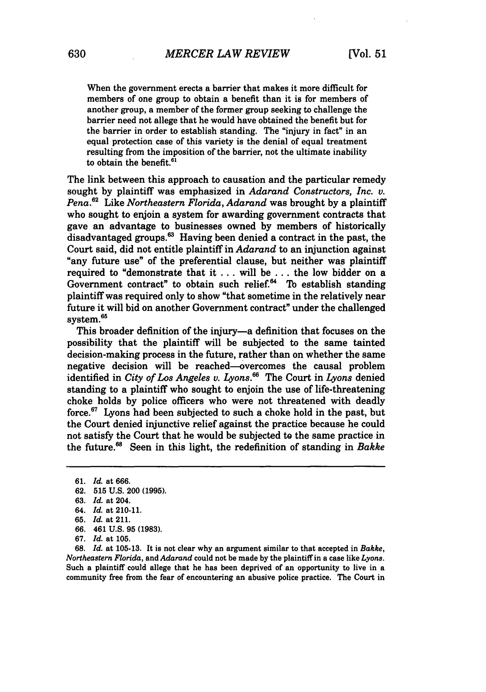When the government erects a barrier that makes it more difficult for members of one group to obtain a benefit than it is for members of another group, a member of the former group seeking to challenge the barrier need not allege that he would have obtained the benefit but for the barrier in order to establish standing. The "injury in fact" in an equal protection case of this variety is the denial of equal treatment resulting from the imposition of the barrier, not the ultimate inability to obtain the benefit.<sup>61</sup>

The link between this approach to causation and the particular remedy sought by plaintiff was emphasized in *Adarand Constructors, Inc. v. Pena.6 <sup>2</sup>*Like *Northeastern Florida, Adarand* was brought by a plaintiff who sought to enjoin a system for awarding government contracts that gave an advantage to businesses owned by members of historically disadvantaged groups.<sup>63</sup> Having been denied a contract in the past, the Court said, did not entitle plaintiff in *Adarand* to an injunction against "any future use" of the preferential clause, but neither was plaintiff required to "demonstrate that it ... will be ... the low bidder on a Government contract" to obtain such relief.<sup>64</sup> To establish standing plaintiff was required only to show "that sometime in the relatively near future it will bid on another Government contract" under the challenged system.<sup>65</sup>

This broader definition of the injury-a definition that focuses on the possibility that the plaintiff will be subjected to the same tainted decision-making process in the future, rather than on whether the same negative decision will be reached-overcomes the causal problem identified in *City of Los Angeles v. Lyons.66* The Court in *Lyons* denied standing to a plaintiff who sought to enjoin the use of life-threatening choke holds by police officers who were not threatened with deadly force.67 Lyons had been subjected to such a choke hold in the past, but the Court denied injunctive relief against the practice because he could not satisfy the Court that he would be subjected to the same practice in the future." Seen in this light, the redefinition of standing in *Bakke*

67. *Id.* at 105.

**68.** *Id.* at 105-13. It is not clear why an argument similar to that accepted in *Bakke, Northeastern Florida,* and *Adarand* could not be made by the plaintiff in a case like *Lyons.* Such a plaintiff could allege that he has been deprived of an opportunity to live in a community free from the fear of encountering an abusive police practice. The Court in

<sup>61.</sup> *Id.* at 666.

<sup>62.</sup> **515** U.S. 200 **(1995).**

<sup>63.</sup> *Id.* at 204.

<sup>64.</sup> *Id.* at 210-11.

**<sup>65.</sup>** *Id.* at 211.

<sup>66. 461</sup> U.S. **95** (1983).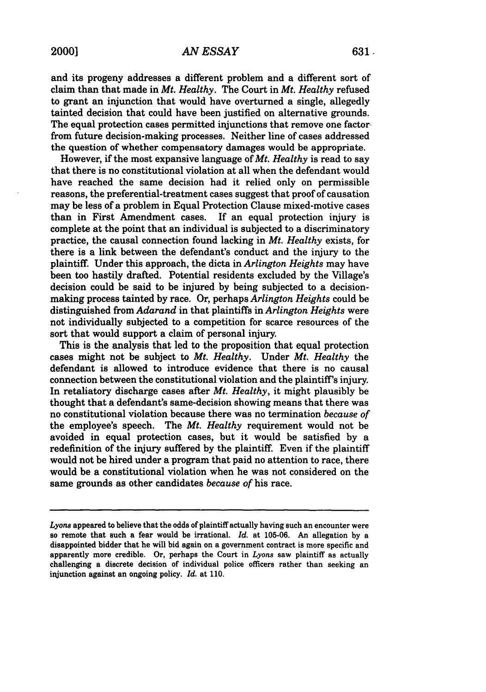and its progeny addresses a different problem and a different sort of claim than that made in *Mt. Healthy.* The Court in *Mt. Healthy* refused to grant an injunction that would have overturned a single, allegedly tainted decision that could have been justified on alternative grounds. The equal protection cases permitted injunctions that remove one factor. from future decision-making processes. Neither line of cases addressed the question of whether compensatory damages would be appropriate.

However, if the most expansive language of *Mt. Healthy* is read to say that there is no constitutional violation at all when the defendant would have reached the same decision had it relied only on permissible reasons, the preferential-treatment cases suggest that proof of causation may be less of a problem in Equal Protection Clause mixed-motive cases<br>than in First Amendment cases. If an equal protection injury is than in First Amendment cases. complete at the point that an individual is subjected to a discriminatory practice, the causal connection found lacking in *Mt. Healthy* exists, for there is a link between the defendant's conduct and the injury to the plaintiff. Under this approach, the dicta in *Arlington Heights* may have been too hastily drafted. Potential residents excluded by the Village's decision could be said to be injured **by** being subjected to a decisionmaking process tainted by race. Or, perhaps *Arlington Heights* could be distinguished from *Adarand* in that plaintiffs in *Arlington Heights* were not individually subjected to a competition for scarce resources of the sort that would support a claim of personal injury.

This is the analysis that led to the proposition that equal protection cases might not be subject to *Mt. Healthy.* Under *Mt. Healthy* the defendant is allowed to introduce evidence that there is no causal connection between the constitutional violation and the plaintiff's injury. In retaliatory discharge cases after *Mt. Healthy,* it might plausibly be thought that a defendant's same-decision showing means that there was no constitutional violation because there was no termination *because of* the employee's speech. The *Mt. Healthy* requirement would not be avoided in equal protection cases, but it would be satisfied by a redefinition of the injury suffered by the plaintiff. Even if the plaintiff would not be hired under a program that paid no attention to race, there would be a constitutional violation when he was not considered on the same grounds as other candidates *because of* his race.

*Lyons* appeared to believe that the odds of plaintiff actually having such an encounter were so remote that such a fear would be irrational. *Id.* at **105-06.** An allegation by a disappointed bidder that he will bid again on a government contract is more specific and apparently more credible. Or, perhaps the Court in *Lyons* saw plaintiff as actually challenging a discrete decision of individual police officers rather than seeking an injunction against an ongoing policy. *Id.* at 110.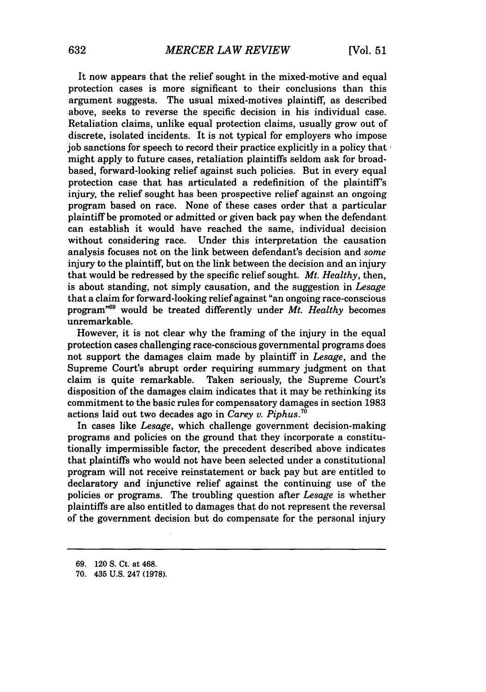It now appears that the relief sought in the mixed-motive and equal protection cases is more significant to their conclusions than this argument suggests. The usual mixed-motives plaintiff, as described above, seeks to reverse the specific decision in his individual case. Retaliation claims, unlike equal protection claims, usually grow out of discrete, isolated incidents. It is not typical for employers who impose job sanctions for speech to record their practice explicitly in a policy that might apply to future cases, retaliation plaintiffs seldom ask for broadbased, forward-looking relief against such policies. But in every equal protection case that has articulated a redefinition of the plaintiff's injury, the relief sought has been prospective relief against an ongoing program based on race. None of these cases order that a particular plaintiff be promoted or admitted or given back pay when the defendant can establish it would have reached the same, individual decision without considering race. Under this interpretation the causation analysis focuses not on the link between defendant's decision and *some* injury to the plaintiff, but on the link between the decision and an injury that would be redressed by the specific relief sought. *Mt. Healthy,* then, is about standing, not simply causation, and the suggestion in *Lesage* that a claim for forward-looking relief against "an ongoing race-conscious program"69 would be treated differently under *Mt. Healthy* becomes unremarkable.

However, it is not clear why the framing of the injury in the equal protection cases challenging race-conscious governmental programs does not support the damages claim made by plaintiff in *Lesage,* and the Supreme Court's abrupt order requiring summary judgment on that claim is quite remarkable. Taken seriously, the Supreme Court's disposition of the damages claim indicates that it may be rethinking its commitment to the basic rules for compensatory damages in section 1983 actions laid out two decades ago in *Carey v. Piphus.°*

In cases like *Lesage,* which challenge government decision-making programs and policies on the ground that they incorporate a constitutionally impermissible factor, the precedent described above indicates that plaintiffs who would not have been selected under a constitutional program will not receive reinstatement or back pay but are entitled to declaratory and injunctive relief against the continuing use of the policies or programs. The troubling question after *Lesage* is whether plaintiffs are also entitled to damages that do not represent the reversal of the government decision but do compensate for the personal injury

**<sup>69.</sup>** 120 **S.** Ct. at 468.

**<sup>70.</sup>** 435 U.S. 247 **(1978).**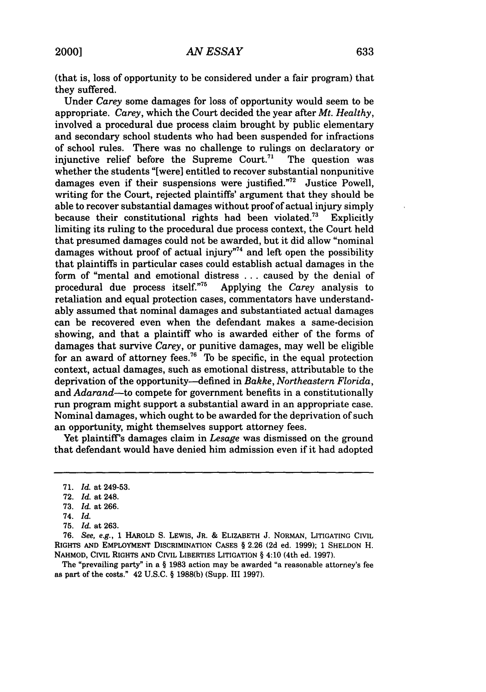(that is, loss of opportunity to be considered under a fair program) that they suffered.

Under *Carey* some damages for loss of opportunity would seem to be appropriate. *Carey,* which the Court decided the year after *Mt. Healthy,* involved a procedural due process claim brought by public elementary and secondary school students who had been suspended for infractions of school rules. There was no challenge to rulings on declaratory or injunctive relief before the Supreme Court.<sup>71</sup> The question was injunctive relief before the Supreme Court.<sup>71</sup> whether the students "[were] entitled to recover substantial nonpunitive damages even if their suspensions were justified."<sup>72</sup> Justice Powell, writing for the Court, rejected plaintiffs' argument that they should be able to recover substantial damages without proof of actual injury simply because their constitutional rights had been violated.<sup>73</sup> Explicitly limiting its ruling to the procedural due process context, the Court held that presumed damages could not be awarded, but it did allow "nominal damages without proof of actual injury $n^2$  and left open the possibility that plaintiffs in particular cases could establish actual damages in the form of "mental and emotional distress ... caused by the denial of procedural due process itself."5 Applying the *Carey* analysis to retaliation and equal protection cases, commentators have understandably assumed that nominal damages and substantiated actual damages can be recovered even when the defendant makes a same-decision showing, and that a plaintiff who is awarded either of the forms of damages that survive *Carey,* or punitive damages, may well be eligible for an award of attorney fees.<sup>76</sup> To be specific, in the equal protection context, actual damages, such as emotional distress, attributable to the deprivation of the opportunity-defined in *Bakke, Northeastern Florida,* and *Adarand-to* compete for government benefits in a constitutionally run program might support a substantial award in an appropriate case. Nominal damages, which ought to be awarded for the deprivation of such an opportunity, might themselves support attorney fees.

Yet plaintiff's damages claim in *Lesage* was dismissed on the ground that defendant would have denied him admission even if it had adopted

The "prevailing party" in a § **1983** action may be awarded "a reasonable attorney's fee as part of the costs." 42 U.S.C. § **1988(b)** (Supp. III **1997).**

<sup>71.</sup> *Id.* at 249-53.

<sup>72.</sup> *Id.* at 248.

<sup>73.</sup> *Id.* at 266.

<sup>74.</sup> *Id.*

<sup>75.</sup> *Id.* at 263.

**<sup>76.</sup>** See, e.g., 1 HAROLD S. LEWIS, JR. & ELIZABETH J. NORMAN, LITIGATING CIVIL RIGHTS AND EMPLOYMENT DISCRIMINATION CASES § **2.26 (2d** ed. 1999); 1 SHELDON H. NAHMOD, CIVIL RIGHTS AND CIVIL LIBERTIES LITIGATION § 4:10 (4th ed. **1997).**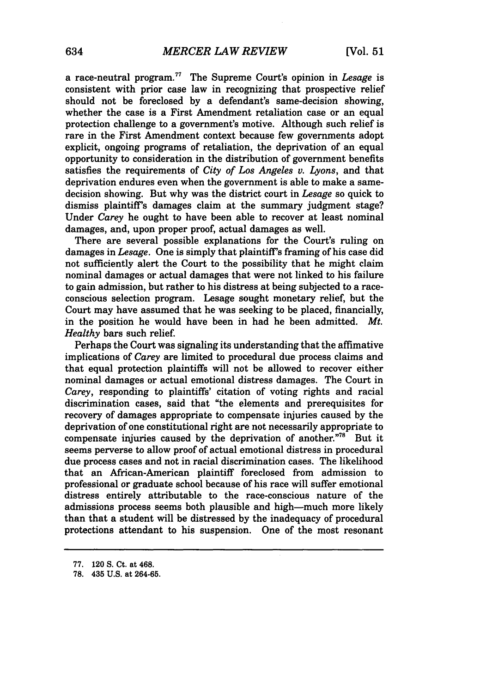a race-neutral program." The Supreme Court's opinion in *Lesage* is consistent with prior case law in recognizing that prospective relief should not be foreclosed **by** a defendant's same-decision showing, whether the case is a First Amendment retaliation case or an equal protection challenge to a government's motive. Although such relief is rare in the First Amendment context because few governments adopt explicit, ongoing programs of retaliation, the deprivation of an equal opportunity to consideration in the distribution of government benefits satisfies the requirements of *City of Los Angeles v. Lyons,* and that deprivation endures even when the government is able to make a samedecision showing. But why was the district court in *Lesage* so quick to dismiss plaintiff's damages claim at the summary judgment stage? Under *Carey* he ought to have been able to recover at least nominal damages, and, upon proper proof, actual damages as well.

There are several possible explanations for the Court's ruling on damages in *Lesage.* One is simply that plaintiff's framing of his case did not sufficiently alert the Court to the possibility that he might claim nominal damages or actual damages that were not linked to his failure to gain admission, but rather to his distress at being subjected to a raceconscious selection program. Lesage sought monetary relief, but the Court may have assumed that he was seeking to be placed, financially, in the position he would have been in had he been admitted. *Mt. Healthy* bars such relief.

Perhaps the Court was signaling its understanding that the affimative implications of *Carey* are limited to procedural due process claims and that equal protection plaintiffs will not be allowed to recover either nominal damages or actual emotional distress damages. The Court in *Carey,* responding to plaintiffs' citation of voting rights and racial discrimination cases, said that "the elements and prerequisites for recovery of damages appropriate to compensate injuries caused **by** the deprivation of one constitutional right are not necessarily appropriate to compensate injuries caused **by** the deprivation of another."7" But it seems perverse to allow proof of actual emotional distress in procedural due process cases and not in racial discrimination cases. The likelihood that an African-American plaintiff foreclosed from admission to professional or graduate school because of his race will suffer emotional distress entirely attributable to the race-conscious nature of the admissions process seems both plausible and high-much more likely than that a student will be distressed **by** the inadequacy of procedural protections attendant to his suspension. One of the most resonant

**<sup>77.</sup>** 120 **S.** Ct. at 468.

**<sup>78.</sup>** 435 **U.S.** at 264-65.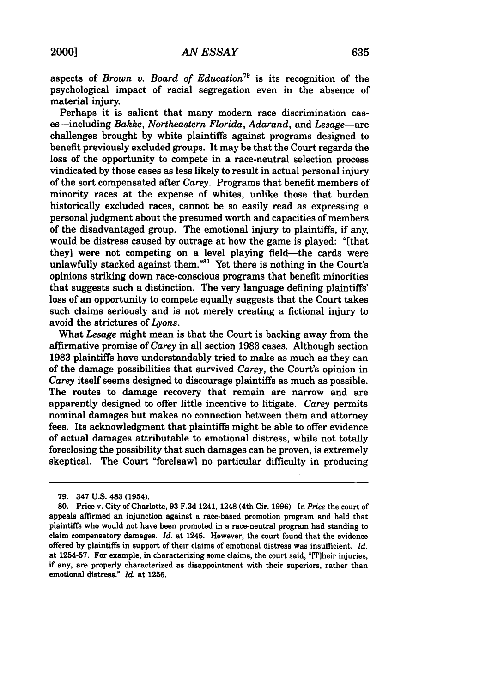aspects of *Brown v. Board of Education79* is its recognition of the psychological impact of racial segregation even in the absence of material injury.

Perhaps it is salient that many modern race discrimination cases-including *Bakke, Northeastern Florida, Adarand,* and *Lesage-are* challenges brought by white plaintiffs against programs designed to benefit previously excluded groups. It may be that the Court regards the loss of the opportunity to compete in a race-neutral selection process vindicated by those cases as less likely to result in actual personal injury of the sort compensated after *Carey.* Programs that benefit members of minority races at the expense of whites, unlike those that burden historically excluded races, cannot be so easily read as expressing a personal judgment about the presumed worth and capacities of members of the disadvantaged group. The emotional injury to plaintiffs, if any, would be distress caused by outrage at how the game is played: "[that they] were not competing on a level playing field-the cards were unlawfully stacked against them."<sup>80</sup> Yet there is nothing in the Court's opinions striking down race-conscious programs that benefit minorities that suggests such a distinction. The very language defining plaintiffs' loss of an opportunity to compete equally suggests that the Court takes such claims seriously and is not merely creating a fictional injury to avoid the strictures of *Lyons.*

What *Lesage* might mean is that the Court is backing away from the affirmative promise of *Carey* in all section 1983 cases. Although section 1983 plaintiffs have understandably tried to make as much as they can of the damage possibilities that survived *Carey,* the Court's opinion in *Carey* itself seems designed to discourage plaintiffs as much as possible. The routes to damage recovery that remain are narrow and are apparently designed to offer little incentive to litigate. *Carey* permits nominal damages but makes no connection between them and attorney fees. Its acknowledgment that plaintiffs might be able to offer evidence of actual damages attributable to emotional distress, while not totally foreclosing the possibility that such damages can be proven, is extremely skeptical. The Court "fore[saw] no particular difficulty in producing

<sup>79. 347</sup> U.S. 483 (1954).

<sup>80.</sup> Price v. City of Charlotte, 93 F.3d 1241, 1248 (4th Cir. 1996). In *Price* the court of appeals affirmed an injunction against a race-based promotion program and held that plaintiffs who would not have been promoted in a race-neutral program had standing to claim compensatory damages. *Id.* at 1245. However, the court found that the evidence offered by plaintiffs in support of their claims of emotional distress was insufficient. *Id.* at 1254-57. For example, in characterizing some claims, the court said, "[T]heir injuries, if any, are properly characterized as disappointment with their superiors, rather than emotional distress." *Id.* at 1256.